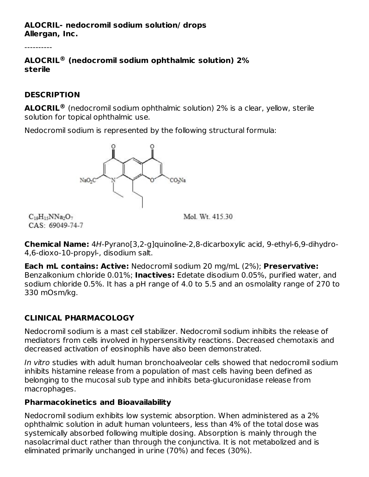#### **ALOCRIL- nedocromil sodium solution/ drops Allergan, Inc.**

**ALOCRIL (nedocromil sodium ophthalmic solution) 2% ® sterile**

#### **DESCRIPTION**

**ALOCRIL**<sup>®</sup> (nedocromil sodium ophthalmic solution) 2% is a clear, yellow, sterile solution for topical ophthalmic use.

Nedocromil sodium is represented by the following structural formula:



Mol Wt 41530

 $C_{10}H_{15}NNa_2O_7$ CAS: 69049-74-7

**Chemical Name:** 4H-Pyrano[3,2-g]quinoline-2,8-dicarboxylic acid, 9-ethyl-6,9-dihydro-4,6-dioxo-10-propyl-, disodium salt.

**Each mL contains: Active:** Nedocromil sodium 20 mg/mL (2%); **Preservative:** Benzalkonium chloride 0.01%; **Inactives:** Edetate disodium 0.05%, purified water, and sodium chloride 0.5%. It has a pH range of 4.0 to 5.5 and an osmolality range of 270 to 330 mOsm/kg.

# **CLINICAL PHARMACOLOGY**

Nedocromil sodium is a mast cell stabilizer. Nedocromil sodium inhibits the release of mediators from cells involved in hypersensitivity reactions. Decreased chemotaxis and decreased activation of eosinophils have also been demonstrated.

In vitro studies with adult human bronchoalveolar cells showed that nedocromil sodium inhibits histamine release from a population of mast cells having been defined as belonging to the mucosal sub type and inhibits beta-glucuronidase release from macrophages.

#### **Pharmacokinetics and Bioavailability**

Nedocromil sodium exhibits low systemic absorption. When administered as a 2% ophthalmic solution in adult human volunteers, less than 4% of the total dose was systemically absorbed following multiple dosing. Absorption is mainly through the nasolacrimal duct rather than through the conjunctiva. It is not metabolized and is eliminated primarily unchanged in urine (70%) and feces (30%).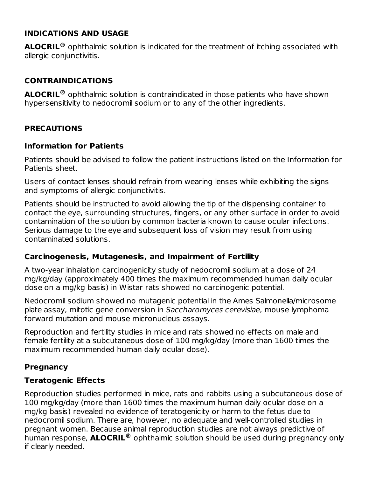#### **INDICATIONS AND USAGE**

**ALOCRIL<sup>®</sup>** ophthalmic solution is indicated for the treatment of itching associated with allergic conjunctivitis.

#### **CONTRAINDICATIONS**

**ALOCRIL** ophthalmic solution is contraindicated in those patients who have shown **®** hypersensitivity to nedocromil sodium or to any of the other ingredients.

#### **PRECAUTIONS**

#### **Information for Patients**

Patients should be advised to follow the patient instructions listed on the Information for Patients sheet.

Users of contact lenses should refrain from wearing lenses while exhibiting the signs and symptoms of allergic conjunctivitis.

Patients should be instructed to avoid allowing the tip of the dispensing container to contact the eye, surrounding structures, fingers, or any other surface in order to avoid contamination of the solution by common bacteria known to cause ocular infections. Serious damage to the eye and subsequent loss of vision may result from using contaminated solutions.

#### **Carcinogenesis, Mutagenesis, and Impairment of Fertility**

A two-year inhalation carcinogenicity study of nedocromil sodium at a dose of 24 mg/kg/day (approximately 400 times the maximum recommended human daily ocular dose on a mg/kg basis) in Wistar rats showed no carcinogenic potential.

Nedocromil sodium showed no mutagenic potential in the Ames Salmonella/microsome plate assay, mitotic gene conversion in Saccharomyces cerevisiae, mouse lymphoma forward mutation and mouse micronucleus assays.

Reproduction and fertility studies in mice and rats showed no effects on male and female fertility at a subcutaneous dose of 100 mg/kg/day (more than 1600 times the maximum recommended human daily ocular dose).

#### **Pregnancy**

#### **Teratogenic Effects**

Reproduction studies performed in mice, rats and rabbits using a subcutaneous dose of 100 mg/kg/day (more than 1600 times the maximum human daily ocular dose on a mg/kg basis) revealed no evidence of teratogenicity or harm to the fetus due to nedocromil sodium. There are, however, no adequate and well-controlled studies in pregnant women. Because animal reproduction studies are not always predictive of human response, ALOCRIL® ophthalmic solution should be used during pregnancy only if clearly needed.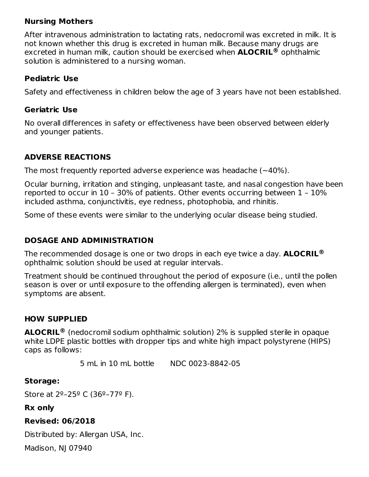#### **Nursing Mothers**

After intravenous administration to lactating rats, nedocromil was excreted in milk. It is not known whether this drug is excreted in human milk. Because many drugs are excreted in human milk, caution should be exercised when **ALOCRIL®** ophthalmic solution is administered to a nursing woman.

#### **Pediatric Use**

Safety and effectiveness in children below the age of 3 years have not been established.

#### **Geriatric Use**

No overall differences in safety or effectiveness have been observed between elderly and younger patients.

#### **ADVERSE REACTIONS**

The most frequently reported adverse experience was headache (~40%).

Ocular burning, irritation and stinging, unpleasant taste, and nasal congestion have been reported to occur in 10 – 30% of patients. Other events occurring between 1 – 10% included asthma, conjunctivitis, eye redness, photophobia, and rhinitis.

Some of these events were similar to the underlying ocular disease being studied.

#### **DOSAGE AND ADMINISTRATION**

The recommended dosage is one or two drops in each eye twice a day. **ALOCRIL ®** ophthalmic solution should be used at regular intervals.

Treatment should be continued throughout the period of exposure (i.e., until the pollen season is over or until exposure to the offending allergen is terminated), even when symptoms are absent.

#### **HOW SUPPLIED**

**ALOCRIL** (nedocromil sodium ophthalmic solution) 2% is supplied sterile in opaque **®**white LDPE plastic bottles with dropper tips and white high impact polystyrene (HIPS) caps as follows:

5 mL in 10 mL bottle NDC 0023-8842-05

#### **Storage:**

Store at 2º–25º C (36º–77º F).

#### **Rx only**

#### **Revised: 06/2018**

Distributed by: Allergan USA, Inc.

Madison, NJ 07940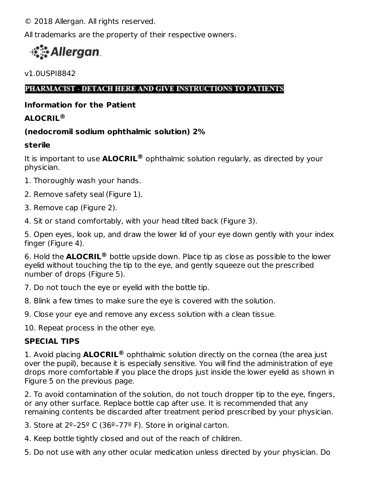© 2018 Allergan. All rights reserved.

All trademarks are the property of their respective owners.

# • Allergan

v1.0USPI8842

PHARMACIST - DETACH HERE AND GIVE INSTRUCTIONS TO PATIENTS

# **Information for the Patient**

# **ALOCRIL ®**

# **(nedocromil sodium ophthalmic solution) 2%**

# **sterile**

It is important to use **ALOCRIL**® ophthalmic solution regularly, as directed by your physician.

- 1. Thoroughly wash your hands.
- 2. Remove safety seal (Figure 1).
- 3. Remove cap (Figure 2).
- 4. Sit or stand comfortably, with your head tilted back (Figure 3).

5. Open eyes, look up, and draw the lower lid of your eye down gently with your index finger (Figure 4).

6. Hold the **ALOCRIL** bottle upside down. Place tip as close as possible to the lower **®** eyelid without touching the tip to the eye, and gently squeeze out the prescribed number of drops (Figure 5).

7. Do not touch the eye or eyelid with the bottle tip.

8. Blink a few times to make sure the eye is covered with the solution.

9. Close your eye and remove any excess solution with a clean tissue.

10. Repeat process in the other eye.

# **SPECIAL TIPS**

1. Avoid placing **ALOCRIL<sup>®</sup>** ophthalmic solution directly on the cornea (the area just over the pupil), because it is especially sensitive. You will find the administration of eye drops more comfortable if you place the drops just inside the lower eyelid as shown in Figure 5 on the previous page.

2. To avoid contamination of the solution, do not touch dropper tip to the eye, fingers, or any other surface. Replace bottle cap after use. It is recommended that any remaining contents be discarded after treatment period prescribed by your physician.

3. Store at  $2^{\circ}$ -25° C (36°-77° F). Store in original carton.

4. Keep bottle tightly closed and out of the reach of children.

5. Do not use with any other ocular medication unless directed by your physician. Do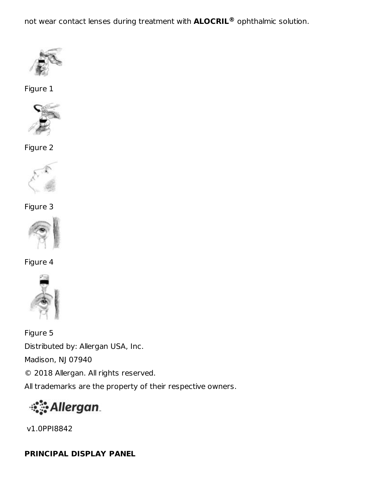not wear contact lenses during treatment with **ALOCRIL<sup>®</sup>** ophthalmic solution.



Figure 1



Figure 2



Figure 3



Figure 4



Figure 5 Distributed by: Allergan USA, Inc. Madison, NJ 07940 © 2018 Allergan. All rights reserved. All trademarks are the property of their respective owners.



v1.0PPI8842

# **PRINCIPAL DISPLAY PANEL**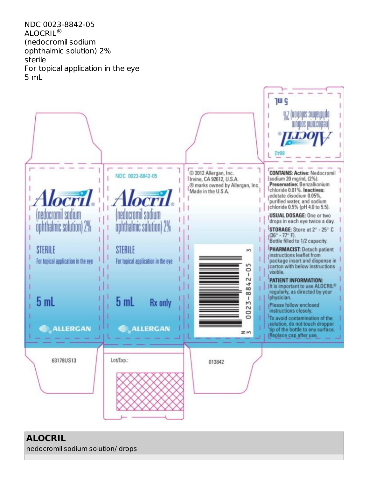NDC 0023-8842-05  $\mathsf{ALOCRIL}^\circledR$ (nedocromil sodium ophthalmic solution) 2% sterile For topical application in the eye 5 mL



# **ALOCRIL**

nedocromil sodium solution/ drops